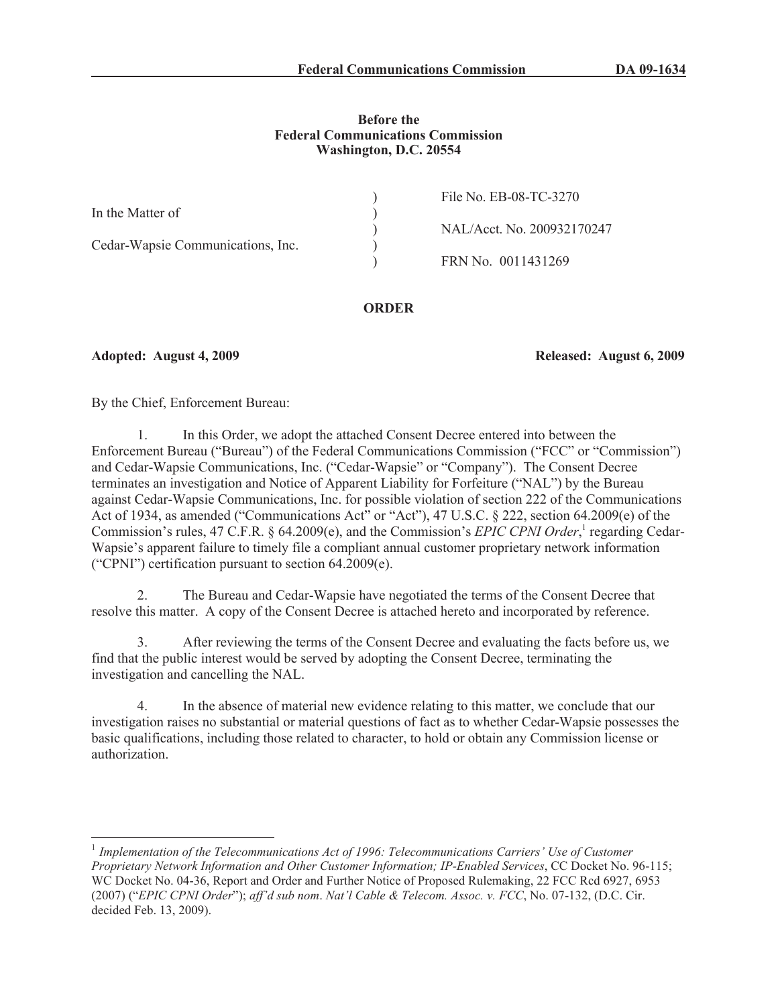### **Before the Federal Communications Commission Washington, D.C. 20554**

|                                   | File No. EB-08-TC-3270     |
|-----------------------------------|----------------------------|
| In the Matter of                  |                            |
|                                   | NAL/Acct. No. 200932170247 |
| Cedar-Wapsie Communications, Inc. |                            |
|                                   | FRN No. 0011431269         |
|                                   |                            |

# **ORDER**

# **Adopted: August 4, 2009 Released: August 6, 2009**

By the Chief, Enforcement Bureau:

1. In this Order, we adopt the attached Consent Decree entered into between the Enforcement Bureau ("Bureau") of the Federal Communications Commission ("FCC" or "Commission") and Cedar-Wapsie Communications, Inc. ("Cedar-Wapsie" or "Company"). The Consent Decree terminates an investigation and Notice of Apparent Liability for Forfeiture ("NAL") by the Bureau against Cedar-Wapsie Communications, Inc. for possible violation of section 222 of the Communications Act of 1934, as amended ("Communications Act" or "Act"), 47 U.S.C. § 222, section 64.2009(e) of the Commission's rules, 47 C.F.R. § 64.2009(e), and the Commission's *EPIC CPNI Order*,<sup>1</sup> regarding Cedar-Wapsie's apparent failure to timely file a compliant annual customer proprietary network information ("CPNI") certification pursuant to section 64.2009(e).

2. The Bureau and Cedar-Wapsie have negotiated the terms of the Consent Decree that resolve this matter. A copy of the Consent Decree is attached hereto and incorporated by reference.

3. After reviewing the terms of the Consent Decree and evaluating the facts before us, we find that the public interest would be served by adopting the Consent Decree, terminating the investigation and cancelling the NAL.

4. In the absence of material new evidence relating to this matter, we conclude that our investigation raises no substantial or material questions of fact as to whether Cedar-Wapsie possesses the basic qualifications, including those related to character, to hold or obtain any Commission license or authorization.

<sup>&</sup>lt;sup>1</sup> Implementation of the Telecommunications Act of 1996: Telecommunications Carriers' Use of Customer *Proprietary Network Information and Other Customer Information; IP-Enabled Services*, CC Docket No. 96-115; WC Docket No. 04-36, Report and Order and Further Notice of Proposed Rulemaking, 22 FCC Rcd 6927, 6953 (2007) ("*EPIC CPNI Order*"); *aff'd sub nom*. *Nat'l Cable & Telecom. Assoc. v. FCC*, No. 07-132, (D.C. Cir. decided Feb. 13, 2009).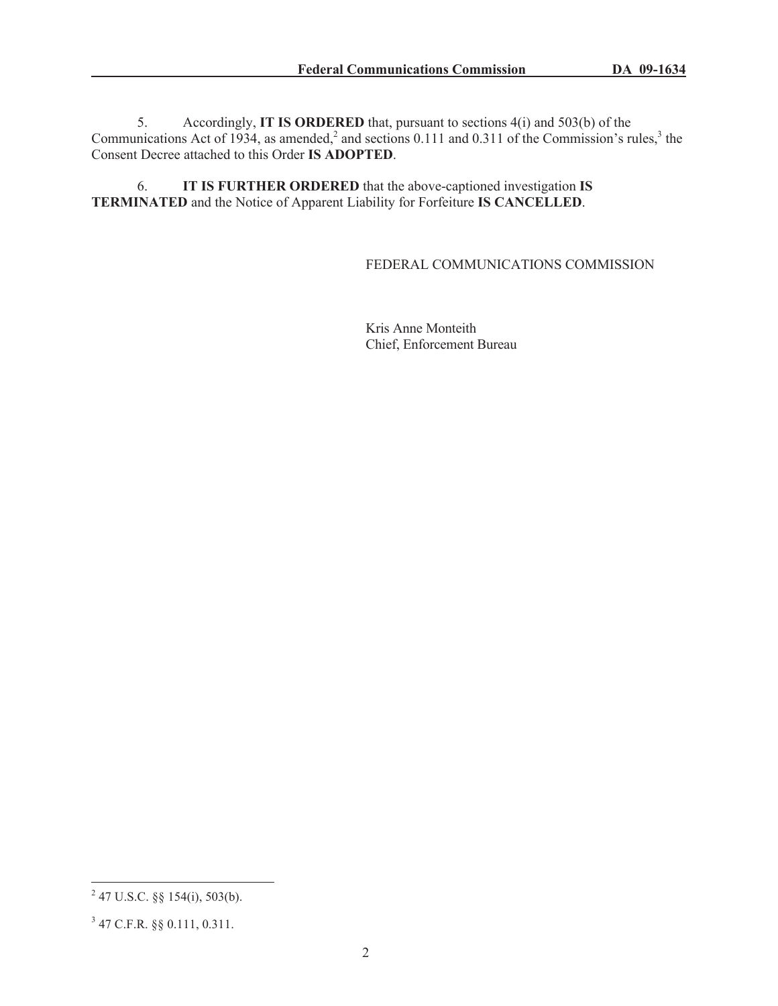5. Accordingly, **IT IS ORDERED** that, pursuant to sections 4(i) and 503(b) of the Communications Act of 1934, as amended,<sup>2</sup> and sections 0.111 and 0.311 of the Commission's rules,<sup>3</sup> the Consent Decree attached to this Order **IS ADOPTED**.

6. **IT IS FURTHER ORDERED** that the above-captioned investigation **IS TERMINATED** and the Notice of Apparent Liability for Forfeiture **IS CANCELLED**.

### FEDERAL COMMUNICATIONS COMMISSION

Kris Anne Monteith Chief, Enforcement Bureau

 $^{2}$  47 U.S.C. §§ 154(i), 503(b).

<sup>3</sup> 47 C.F.R. §§ 0.111, 0.311.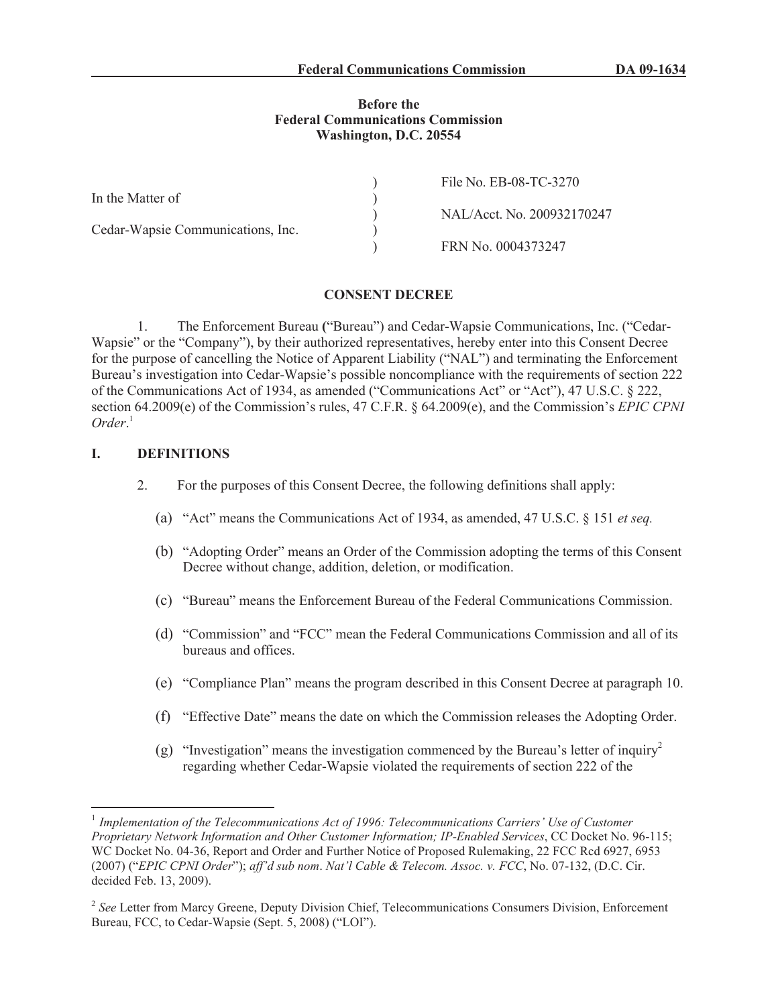#### **Before the Federal Communications Commission Washington, D.C. 20554**

|                                   | File No. EB-08-TC-3270     |
|-----------------------------------|----------------------------|
| In the Matter of                  |                            |
|                                   | NAL/Acct. No. 200932170247 |
| Cedar-Wapsie Communications, Inc. |                            |
|                                   | FRN No. 0004373247         |

#### **CONSENT DECREE**

1. The Enforcement Bureau **(**"Bureau") and Cedar-Wapsie Communications, Inc. ("Cedar-Wapsie" or the "Company"), by their authorized representatives, hereby enter into this Consent Decree for the purpose of cancelling the Notice of Apparent Liability ("NAL") and terminating the Enforcement Bureau's investigation into Cedar-Wapsie's possible noncompliance with the requirements of section 222 of the Communications Act of 1934, as amended ("Communications Act" or "Act"), 47 U.S.C. § 222, section 64.2009(e) of the Commission's rules, 47 C.F.R. § 64.2009(e), and the Commission's *EPIC CPNI Order*. 1

### **I. DEFINITIONS**

- 2. For the purposes of this Consent Decree, the following definitions shall apply:
	- (a) "Act" means the Communications Act of 1934, as amended, 47 U.S.C. § 151 *et seq.*
	- (b) "Adopting Order" means an Order of the Commission adopting the terms of this Consent Decree without change, addition, deletion, or modification.
	- (c) "Bureau" means the Enforcement Bureau of the Federal Communications Commission.
	- (d) "Commission" and "FCC" mean the Federal Communications Commission and all of its bureaus and offices.
	- (e) "Compliance Plan" means the program described in this Consent Decree at paragraph 10.
	- (f) "Effective Date" means the date on which the Commission releases the Adopting Order.
	- (g) "Investigation" means the investigation commenced by the Bureau's letter of inquiry<sup>2</sup> regarding whether Cedar-Wapsie violated the requirements of section 222 of the

<sup>&</sup>lt;sup>1</sup> Implementation of the Telecommunications Act of 1996: Telecommunications Carriers' Use of Customer *Proprietary Network Information and Other Customer Information; IP-Enabled Services*, CC Docket No. 96-115; WC Docket No. 04-36, Report and Order and Further Notice of Proposed Rulemaking, 22 FCC Rcd 6927, 6953 (2007) ("*EPIC CPNI Order*"); *aff'd sub nom*. *Nat'l Cable & Telecom. Assoc. v. FCC*, No. 07-132, (D.C. Cir. decided Feb. 13, 2009).

<sup>&</sup>lt;sup>2</sup> See Letter from Marcy Greene, Deputy Division Chief, Telecommunications Consumers Division, Enforcement Bureau, FCC, to Cedar-Wapsie (Sept. 5, 2008) ("LOI").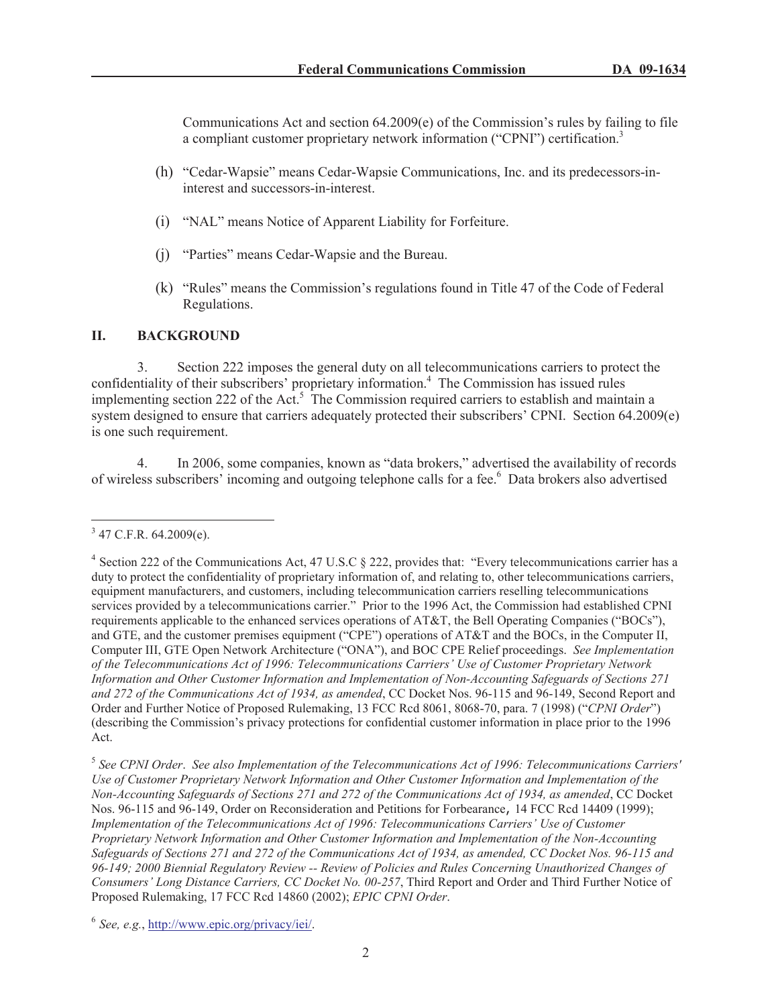Communications Act and section  $64.2009(e)$  of the Commission's rules by failing to file a compliant customer proprietary network information ("CPNI") certification.<sup>3</sup>

- (h) "Cedar-Wapsie" means Cedar-Wapsie Communications, Inc. and its predecessors-ininterest and successors-in-interest.
- (i) "NAL" means Notice of Apparent Liability for Forfeiture.
- (j) "Parties" means Cedar-Wapsie and the Bureau.
- (k) "Rules" means the Commission's regulations found in Title 47 of the Code of Federal Regulations.

## **II. BACKGROUND**

3. Section 222 imposes the general duty on all telecommunications carriers to protect the confidentiality of their subscribers' proprietary information.<sup>4</sup> The Commission has issued rules implementing section 222 of the Act.<sup>5</sup> The Commission required carriers to establish and maintain a system designed to ensure that carriers adequately protected their subscribers' CPNI. Section 64.2009(e) is one such requirement.

4. In 2006, some companies, known as "data brokers," advertised the availability of records of wireless subscribers' incoming and outgoing telephone calls for a fee.<sup>6</sup> Data brokers also advertised

 $3$  47 C.F.R. 64.2009(e).

<sup>&</sup>lt;sup>4</sup> Section 222 of the Communications Act, 47 U.S.C § 222, provides that: "Every telecommunications carrier has a duty to protect the confidentiality of proprietary information of, and relating to, other telecommunications carriers, equipment manufacturers, and customers, including telecommunication carriers reselling telecommunications services provided by a telecommunications carrier." Prior to the 1996 Act, the Commission had established CPNI requirements applicable to the enhanced services operations of AT&T, the Bell Operating Companies ("BOCs"), and GTE, and the customer premises equipment ("CPE") operations of AT&T and the BOCs, in the Computer II, Computer III, GTE Open Network Architecture ("ONA"), and BOC CPE Relief proceedings. *See Implementation of the Telecommunications Act of 1996: Telecommunications Carriers' Use of Customer Proprietary Network Information and Other Customer Information and Implementation of Non-Accounting Safeguards of Sections 271 and 272 of the Communications Act of 1934, as amended*, CC Docket Nos. 96-115 and 96-149, Second Report and Order and Further Notice of Proposed Rulemaking, 13 FCC Rcd 8061, 8068-70, para. 7 (1998) ("*CPNI Order*") (describing the Commission's privacy protections for confidential customer information in place prior to the 1996 Act.

<sup>5</sup> *See CPNI Order*. *See also Implementation of the Telecommunications Act of 1996: Telecommunications Carriers' Use of Customer Proprietary Network Information and Other Customer Information and Implementation of the Non-Accounting Safeguards of Sections 271 and 272 of the Communications Act of 1934, as amended*, CC Docket Nos. 96-115 and 96-149, Order on Reconsideration and Petitions for Forbearance, 14 FCC Rcd 14409 (1999); *Implementation of the Telecommunications Act of 1996: Telecommunications Carriers' Use of Customer Proprietary Network Information and Other Customer Information and Implementation of the Non-Accounting Safeguards of Sections 271 and 272 of the Communications Act of 1934, as amended, CC Docket Nos. 96-115 and 96-149; 2000 Biennial Regulatory Review -- Review of Policies and Rules Concerning Unauthorized Changes of Consumers' Long Distance Carriers, CC Docket No. 00-257*, Third Report and Order and Third Further Notice of Proposed Rulemaking, 17 FCC Rcd 14860 (2002); *EPIC CPNI Order*.

<sup>6</sup> *See, e.g.*, http://www.epic.org/privacy/iei/.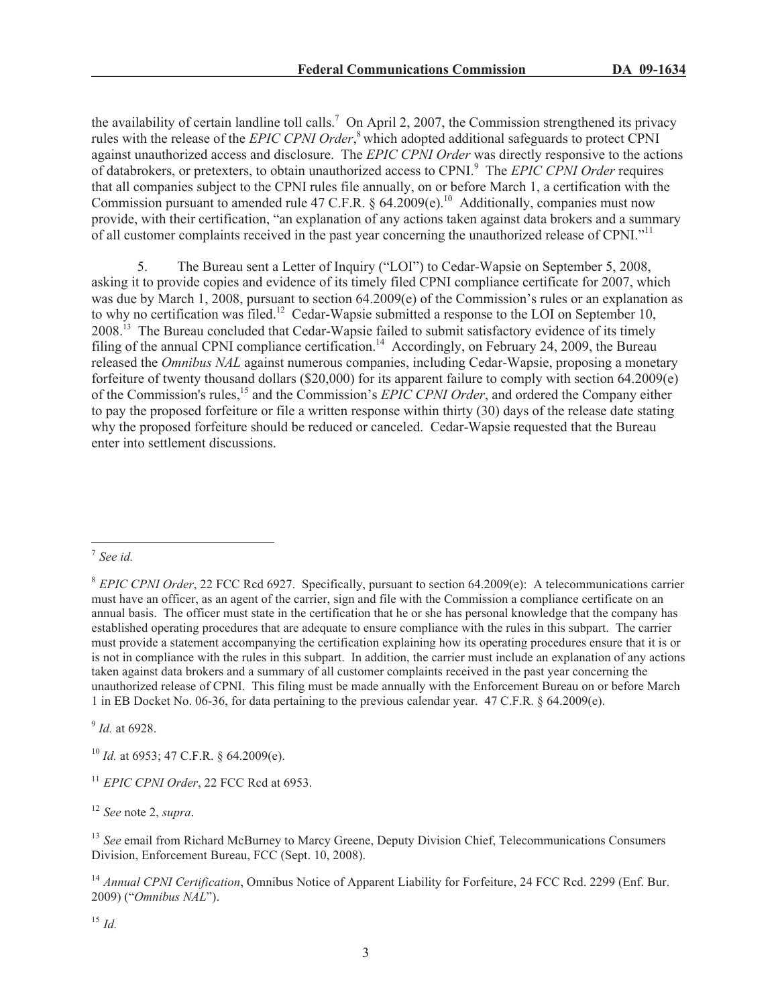the availability of certain landline toll calls.<sup>7</sup> On April 2, 2007, the Commission strengthened its privacy rules with the release of the *EPIC CPNI Order*, <sup>8</sup> which adopted additional safeguards to protect CPNI against unauthorized access and disclosure. The *EPIC CPNI Order* was directly responsive to the actions of databrokers, or pretexters, to obtain unauthorized access to CPNI.<sup>9</sup> The *EPIC CPNI Order* requires that all companies subject to the CPNI rules file annually, on or before March 1, a certification with the Commission pursuant to amended rule 47 C.F.R. § 64.2009(e).<sup>10</sup> Additionally, companies must now provide, with their certification, "an explanation of any actions taken against data brokers and a summary of all customer complaints received in the past year concerning the unauthorized release of CPNI."<sup>11</sup>

5. The Bureau sent a Letter of Inquiry ("LOI") to Cedar-Wapsie on September 5, 2008, asking it to provide copies and evidence of its timely filed CPNI compliance certificate for 2007, which was due by March 1, 2008, pursuant to section 64.2009(e) of the Commission's rules or an explanation as to why no certification was filed.<sup>12</sup> Cedar-Wapsie submitted a response to the LOI on September 10, 2008.<sup>13</sup> The Bureau concluded that Cedar-Wapsie failed to submit satisfactory evidence of its timely filing of the annual CPNI compliance certification.<sup>14</sup> Accordingly, on February 24, 2009, the Bureau released the *Omnibus NAL* against numerous companies, including Cedar-Wapsie, proposing a monetary forfeiture of twenty thousand dollars (\$20,000) for its apparent failure to comply with section 64.2009(e) of the Commission's rules,<sup>15</sup> and the Commission's *EPIC CPNI Order*, and ordered the Company either to pay the proposed forfeiture or file a written response within thirty (30) days of the release date stating why the proposed forfeiture should be reduced or canceled. Cedar-Wapsie requested that the Bureau enter into settlement discussions.

9 *Id.* at 6928.

<sup>10</sup> *Id.* at 6953; 47 C.F.R. § 64.2009(e).

<sup>11</sup> *EPIC CPNI Order*, 22 FCC Rcd at 6953.

<sup>12</sup> *See* note 2, *supra.*

<sup>13</sup> See email from Richard McBurney to Marcy Greene, Deputy Division Chief, Telecommunications Consumers Division, Enforcement Bureau, FCC (Sept. 10, 2008).

<sup>14</sup> *Annual CPNI Certification*, Omnibus Notice of Apparent Liability for Forfeiture, 24 FCC Rcd. 2299 (Enf. Bur. 2009) ("*Omnibus NAL*").

<sup>15</sup> *Id.*

<sup>7</sup> *See id.*

<sup>8</sup> *EPIC CPNI Order*, 22 FCC Rcd 6927. Specifically, pursuant to section 64.2009(e): A telecommunications carrier must have an officer, as an agent of the carrier, sign and file with the Commission a compliance certificate on an annual basis. The officer must state in the certification that he or she has personal knowledge that the company has established operating procedures that are adequate to ensure compliance with the rules in this subpart. The carrier must provide a statement accompanying the certification explaining how its operating procedures ensure that it is or is not in compliance with the rules in this subpart. In addition, the carrier must include an explanation of any actions taken against data brokers and a summary of all customer complaints received in the past year concerning the unauthorized release of CPNI. This filing must be made annually with the Enforcement Bureau on or before March 1 in EB Docket No. 06-36, for data pertaining to the previous calendar year. 47 C.F.R. § 64.2009(e).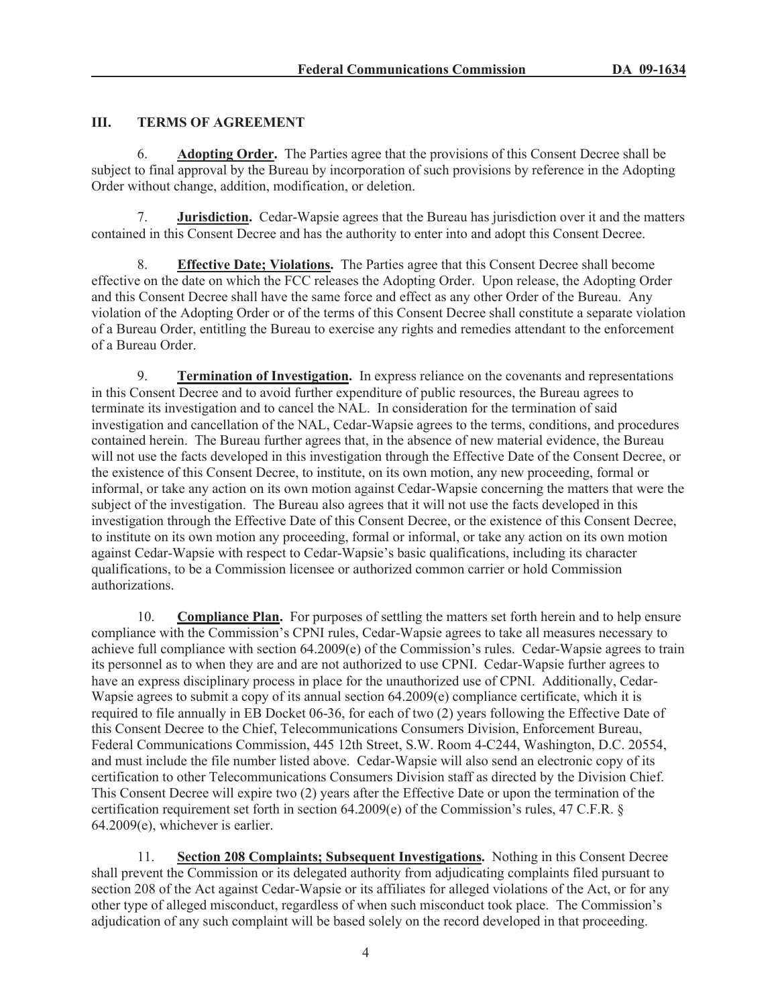# **III. TERMS OF AGREEMENT**

6. **Adopting Order.** The Parties agree that the provisions of this Consent Decree shall be subject to final approval by the Bureau by incorporation of such provisions by reference in the Adopting Order without change, addition, modification, or deletion.

7. **Jurisdiction.** Cedar-Wapsie agrees that the Bureau has jurisdiction over it and the matters contained in this Consent Decree and has the authority to enter into and adopt this Consent Decree.

8. **Effective Date; Violations.** The Parties agree that this Consent Decree shall become effective on the date on which the FCC releases the Adopting Order. Upon release, the Adopting Order and this Consent Decree shall have the same force and effect as any other Order of the Bureau. Any violation of the Adopting Order or of the terms of this Consent Decree shall constitute a separate violation of a Bureau Order, entitling the Bureau to exercise any rights and remedies attendant to the enforcement of a Bureau Order.

9. **Termination of Investigation.** In express reliance on the covenants and representations in this Consent Decree and to avoid further expenditure of public resources, the Bureau agrees to terminate its investigation and to cancel the NAL. In consideration for the termination of said investigation and cancellation of the NAL, Cedar-Wapsie agrees to the terms, conditions, and procedures contained herein. The Bureau further agrees that, in the absence of new material evidence, the Bureau will not use the facts developed in this investigation through the Effective Date of the Consent Decree, or the existence of this Consent Decree, to institute, on its own motion, any new proceeding, formal or informal, or take any action on its own motion against Cedar-Wapsie concerning the matters that were the subject of the investigation. The Bureau also agrees that it will not use the facts developed in this investigation through the Effective Date of this Consent Decree, or the existence of this Consent Decree, to institute on its own motion any proceeding, formal or informal, or take any action on its own motion against Cedar-Wapsie with respect to Cedar-Wapsie's basic qualifications, including its character qualifications, to be a Commission licensee or authorized common carrier or hold Commission authorizations.

10. **Compliance Plan.** For purposes of settling the matters set forth herein and to help ensure compliance with the Commission's CPNI rules, Cedar-Wapsie agrees to take all measures necessary to achieve full compliance with section 64.2009(e) of the Commission's rules. Cedar-Wapsie agrees to train its personnel as to when they are and are not authorized to use CPNI. Cedar-Wapsie further agrees to have an express disciplinary process in place for the unauthorized use of CPNI. Additionally, Cedar-Wapsie agrees to submit a copy of its annual section 64.2009(e) compliance certificate, which it is required to file annually in EB Docket 06-36, for each of two (2) years following the Effective Date of this Consent Decree to the Chief, Telecommunications Consumers Division, Enforcement Bureau, Federal Communications Commission, 445 12th Street, S.W. Room 4-C244, Washington, D.C. 20554, and must include the file number listed above. Cedar-Wapsie will also send an electronic copy of its certification to other Telecommunications Consumers Division staff as directed by the Division Chief. This Consent Decree will expire two (2) years after the Effective Date or upon the termination of the certification requirement set forth in section 64.2009(e) of the Commission's rules, 47 C.F.R. § 64.2009(e), whichever is earlier.

11. **Section 208 Complaints; Subsequent Investigations.** Nothing in this Consent Decree shall prevent the Commission or its delegated authority from adjudicating complaints filed pursuant to section 208 of the Act against Cedar-Wapsie or its affiliates for alleged violations of the Act, or for any other type of alleged misconduct, regardless of when such misconduct took place. The Commission's adjudication of any such complaint will be based solely on the record developed in that proceeding.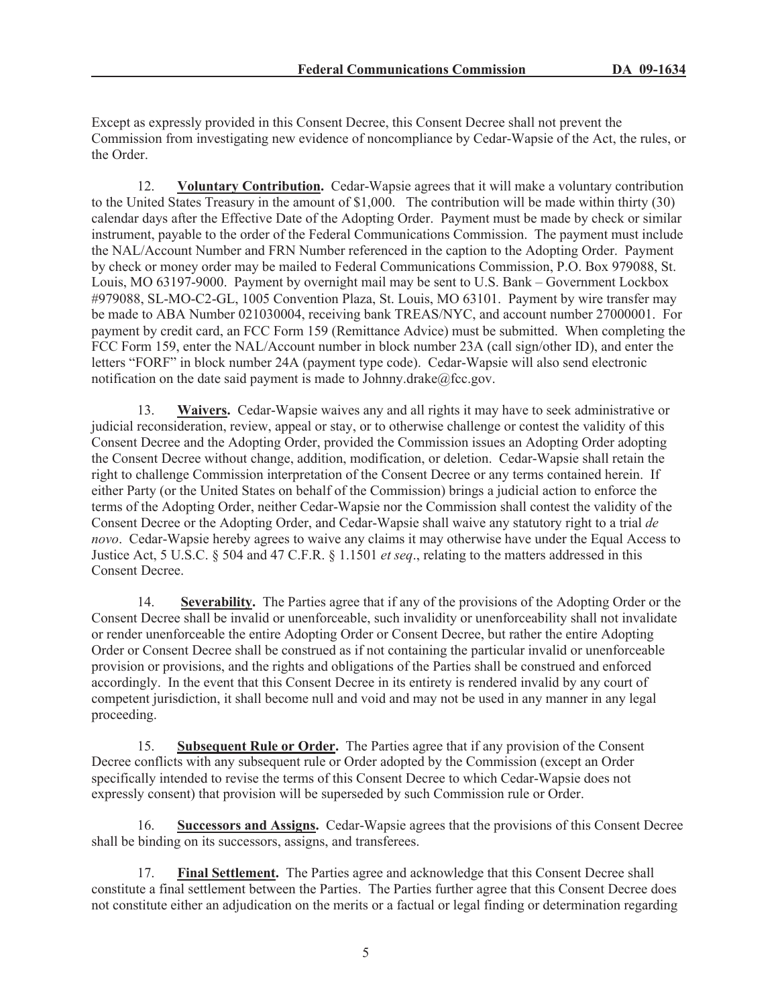Except as expressly provided in this Consent Decree, this Consent Decree shall not prevent the Commission from investigating new evidence of noncompliance by Cedar-Wapsie of the Act, the rules, or the Order.

12. **Voluntary Contribution.** Cedar-Wapsie agrees that it will make a voluntary contribution to the United States Treasury in the amount of \$1,000. The contribution will be made within thirty (30) calendar days after the Effective Date of the Adopting Order. Payment must be made by check or similar instrument, payable to the order of the Federal Communications Commission. The payment must include the NAL/Account Number and FRN Number referenced in the caption to the Adopting Order. Payment by check or money order may be mailed to Federal Communications Commission, P.O. Box 979088, St. Louis, MO 63197-9000. Payment by overnight mail may be sent to U.S. Bank – Government Lockbox #979088, SL-MO-C2-GL, 1005 Convention Plaza, St. Louis, MO 63101. Payment by wire transfer may be made to ABA Number 021030004, receiving bank TREAS/NYC, and account number 27000001. For payment by credit card, an FCC Form 159 (Remittance Advice) must be submitted. When completing the FCC Form 159, enter the NAL/Account number in block number 23A (call sign/other ID), and enter the letters "FORF" in block number 24A (payment type code). Cedar-Wapsie will also send electronic notification on the date said payment is made to Johnny.drake $@$ fcc.gov.

13. **Waivers.** Cedar-Wapsie waives any and all rights it may have to seek administrative or judicial reconsideration, review, appeal or stay, or to otherwise challenge or contest the validity of this Consent Decree and the Adopting Order, provided the Commission issues an Adopting Order adopting the Consent Decree without change, addition, modification, or deletion. Cedar-Wapsie shall retain the right to challenge Commission interpretation of the Consent Decree or any terms contained herein. If either Party (or the United States on behalf of the Commission) brings a judicial action to enforce the terms of the Adopting Order, neither Cedar-Wapsie nor the Commission shall contest the validity of the Consent Decree or the Adopting Order, and Cedar-Wapsie shall waive any statutory right to a trial *de novo*. Cedar-Wapsie hereby agrees to waive any claims it may otherwise have under the Equal Access to Justice Act, 5 U.S.C. § 504 and 47 C.F.R. § 1.1501 *et seq*., relating to the matters addressed in this Consent Decree.

14. **Severability.** The Parties agree that if any of the provisions of the Adopting Order or the Consent Decree shall be invalid or unenforceable, such invalidity or unenforceability shall not invalidate or render unenforceable the entire Adopting Order or Consent Decree, but rather the entire Adopting Order or Consent Decree shall be construed as if not containing the particular invalid or unenforceable provision or provisions, and the rights and obligations of the Parties shall be construed and enforced accordingly. In the event that this Consent Decree in its entirety is rendered invalid by any court of competent jurisdiction, it shall become null and void and may not be used in any manner in any legal proceeding.

15. **Subsequent Rule or Order.** The Parties agree that if any provision of the Consent Decree conflicts with any subsequent rule or Order adopted by the Commission (except an Order specifically intended to revise the terms of this Consent Decree to which Cedar-Wapsie does not expressly consent) that provision will be superseded by such Commission rule or Order.

16. **Successors and Assigns.** Cedar-Wapsie agrees that the provisions of this Consent Decree shall be binding on its successors, assigns, and transferees.

17. **Final Settlement.** The Parties agree and acknowledge that this Consent Decree shall constitute a final settlement between the Parties. The Parties further agree that this Consent Decree does not constitute either an adjudication on the merits or a factual or legal finding or determination regarding